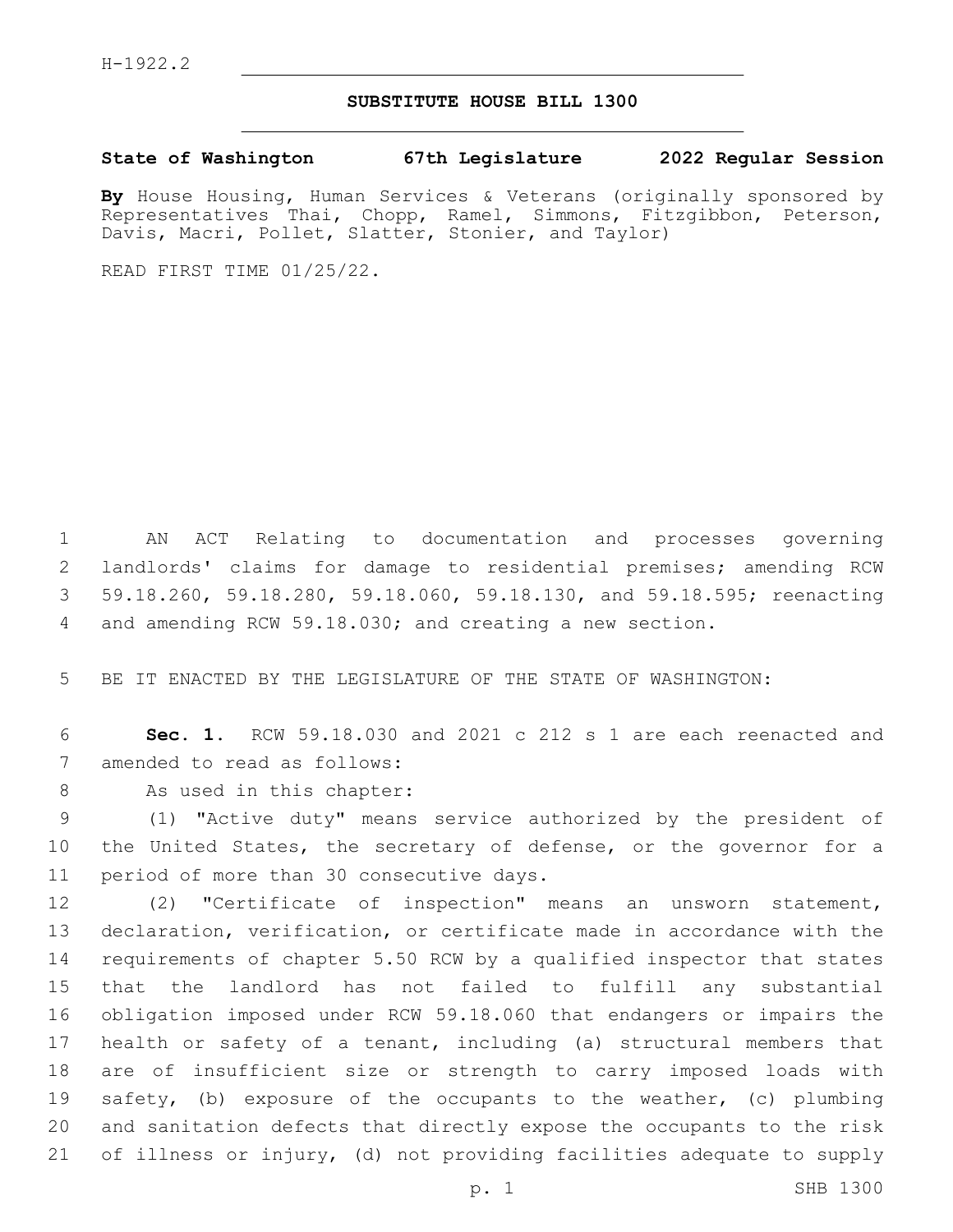## **SUBSTITUTE HOUSE BILL 1300**

**State of Washington 67th Legislature 2022 Regular Session**

**By** House Housing, Human Services & Veterans (originally sponsored by Representatives Thai, Chopp, Ramel, Simmons, Fitzgibbon, Peterson, Davis, Macri, Pollet, Slatter, Stonier, and Taylor)

READ FIRST TIME 01/25/22.

 AN ACT Relating to documentation and processes governing landlords' claims for damage to residential premises; amending RCW 59.18.260, 59.18.280, 59.18.060, 59.18.130, and 59.18.595; reenacting and amending RCW 59.18.030; and creating a new section.

5 BE IT ENACTED BY THE LEGISLATURE OF THE STATE OF WASHINGTON:

6 **Sec. 1.** RCW 59.18.030 and 2021 c 212 s 1 are each reenacted and 7 amended to read as follows:

8 As used in this chapter:

9 (1) "Active duty" means service authorized by the president of 10 the United States, the secretary of defense, or the governor for a 11 period of more than 30 consecutive days.

 (2) "Certificate of inspection" means an unsworn statement, declaration, verification, or certificate made in accordance with the requirements of chapter 5.50 RCW by a qualified inspector that states that the landlord has not failed to fulfill any substantial obligation imposed under RCW 59.18.060 that endangers or impairs the health or safety of a tenant, including (a) structural members that are of insufficient size or strength to carry imposed loads with safety, (b) exposure of the occupants to the weather, (c) plumbing and sanitation defects that directly expose the occupants to the risk of illness or injury, (d) not providing facilities adequate to supply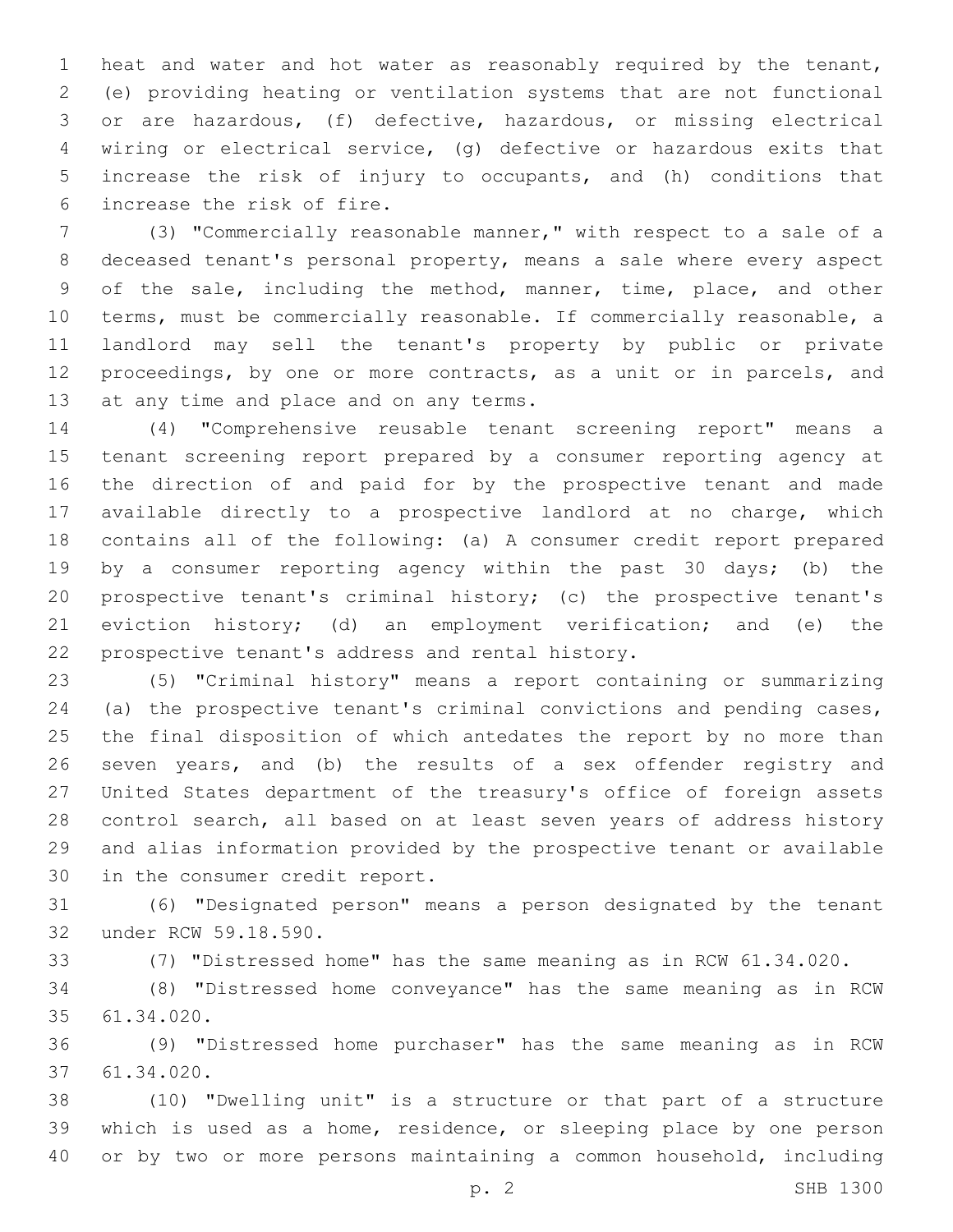heat and water and hot water as reasonably required by the tenant, (e) providing heating or ventilation systems that are not functional or are hazardous, (f) defective, hazardous, or missing electrical wiring or electrical service, (g) defective or hazardous exits that increase the risk of injury to occupants, and (h) conditions that 6 increase the risk of fire.

 (3) "Commercially reasonable manner," with respect to a sale of a deceased tenant's personal property, means a sale where every aspect of the sale, including the method, manner, time, place, and other terms, must be commercially reasonable. If commercially reasonable, a landlord may sell the tenant's property by public or private proceedings, by one or more contracts, as a unit or in parcels, and 13 at any time and place and on any terms.

 (4) "Comprehensive reusable tenant screening report" means a tenant screening report prepared by a consumer reporting agency at the direction of and paid for by the prospective tenant and made available directly to a prospective landlord at no charge, which contains all of the following: (a) A consumer credit report prepared by a consumer reporting agency within the past 30 days; (b) the prospective tenant's criminal history; (c) the prospective tenant's eviction history; (d) an employment verification; and (e) the 22 prospective tenant's address and rental history.

 (5) "Criminal history" means a report containing or summarizing (a) the prospective tenant's criminal convictions and pending cases, the final disposition of which antedates the report by no more than seven years, and (b) the results of a sex offender registry and United States department of the treasury's office of foreign assets control search, all based on at least seven years of address history and alias information provided by the prospective tenant or available 30 in the consumer credit report.

 (6) "Designated person" means a person designated by the tenant 32 under RCW 59.18.590.

(7) "Distressed home" has the same meaning as in RCW 61.34.020.

 (8) "Distressed home conveyance" has the same meaning as in RCW 61.34.020.35

 (9) "Distressed home purchaser" has the same meaning as in RCW 61.34.020.37

 (10) "Dwelling unit" is a structure or that part of a structure which is used as a home, residence, or sleeping place by one person or by two or more persons maintaining a common household, including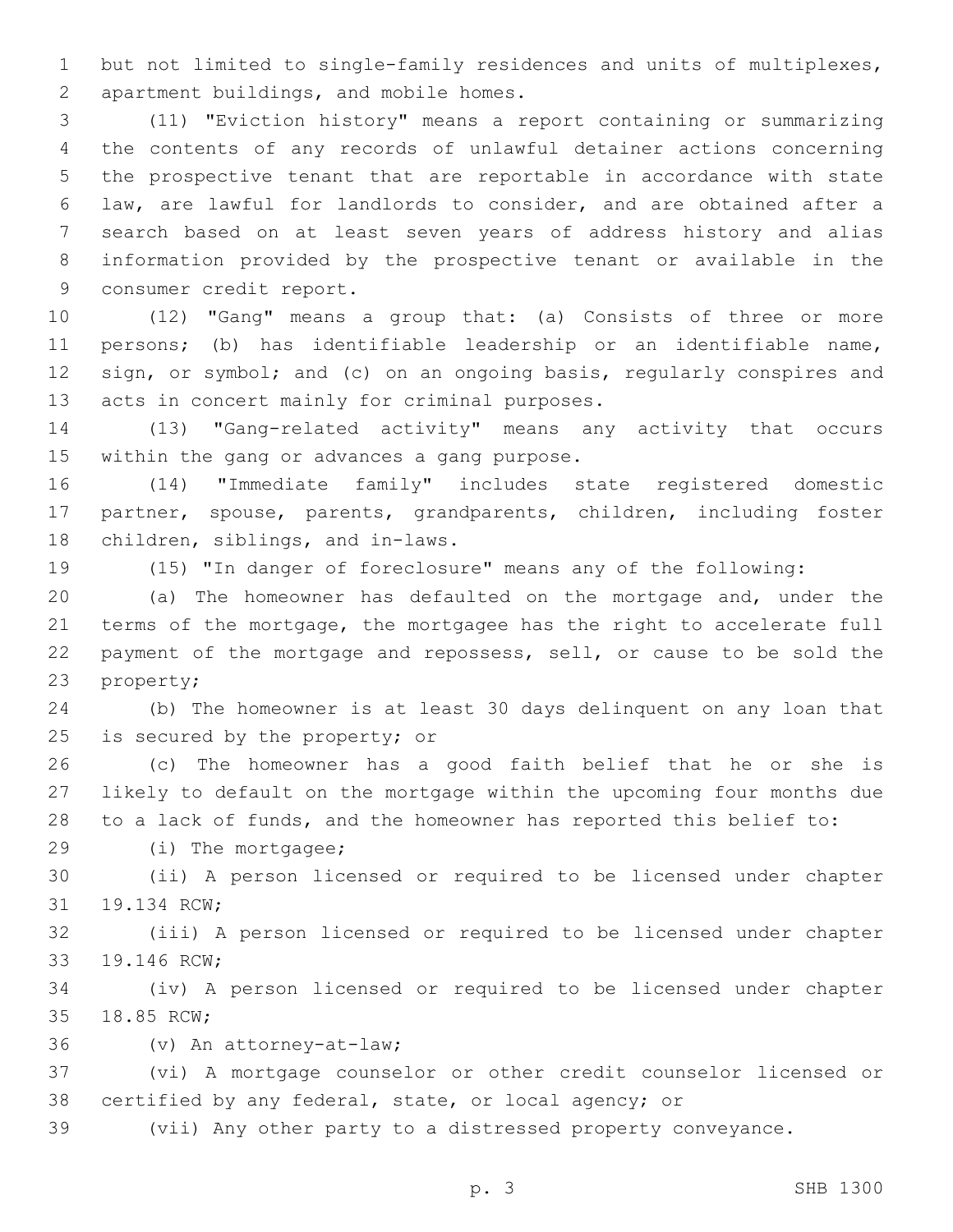but not limited to single-family residences and units of multiplexes, 2 apartment buildings, and mobile homes.

 (11) "Eviction history" means a report containing or summarizing the contents of any records of unlawful detainer actions concerning the prospective tenant that are reportable in accordance with state law, are lawful for landlords to consider, and are obtained after a search based on at least seven years of address history and alias information provided by the prospective tenant or available in the 9 consumer credit report.

 (12) "Gang" means a group that: (a) Consists of three or more persons; (b) has identifiable leadership or an identifiable name, sign, or symbol; and (c) on an ongoing basis, regularly conspires and 13 acts in concert mainly for criminal purposes.

 (13) "Gang-related activity" means any activity that occurs 15 within the gang or advances a gang purpose.

 (14) "Immediate family" includes state registered domestic partner, spouse, parents, grandparents, children, including foster 18 children, siblings, and in-laws.

(15) "In danger of foreclosure" means any of the following:

 (a) The homeowner has defaulted on the mortgage and, under the terms of the mortgage, the mortgagee has the right to accelerate full payment of the mortgage and repossess, sell, or cause to be sold the 23 property;

 (b) The homeowner is at least 30 days delinquent on any loan that 25 is secured by the property; or

 (c) The homeowner has a good faith belief that he or she is likely to default on the mortgage within the upcoming four months due to a lack of funds, and the homeowner has reported this belief to:

29 (i) The mortgagee;

 (ii) A person licensed or required to be licensed under chapter 31 19.134 RCW;

 (iii) A person licensed or required to be licensed under chapter 33 19.146 RCW;

 (iv) A person licensed or required to be licensed under chapter 35 18.85 RCW;

(v) An attorney-at-law;36

 (vi) A mortgage counselor or other credit counselor licensed or certified by any federal, state, or local agency; or

(vii) Any other party to a distressed property conveyance.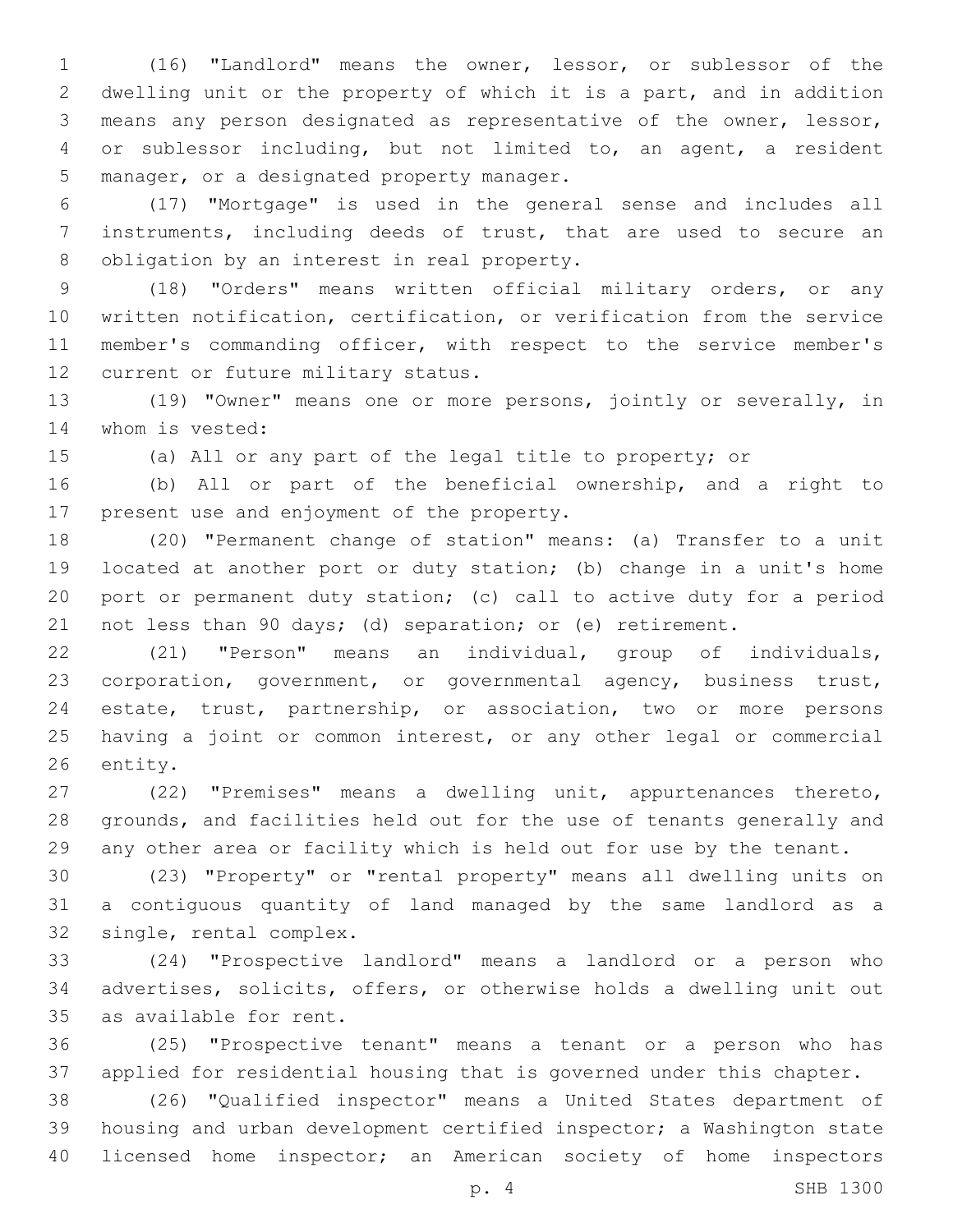(16) "Landlord" means the owner, lessor, or sublessor of the dwelling unit or the property of which it is a part, and in addition means any person designated as representative of the owner, lessor, or sublessor including, but not limited to, an agent, a resident 5 manager, or a designated property manager.

 (17) "Mortgage" is used in the general sense and includes all instruments, including deeds of trust, that are used to secure an 8 obligation by an interest in real property.

 (18) "Orders" means written official military orders, or any written notification, certification, or verification from the service member's commanding officer, with respect to the service member's 12 current or future military status.

 (19) "Owner" means one or more persons, jointly or severally, in 14 whom is vested:

(a) All or any part of the legal title to property; or

 (b) All or part of the beneficial ownership, and a right to 17 present use and enjoyment of the property.

 (20) "Permanent change of station" means: (a) Transfer to a unit located at another port or duty station; (b) change in a unit's home port or permanent duty station; (c) call to active duty for a period not less than 90 days; (d) separation; or (e) retirement.

 (21) "Person" means an individual, group of individuals, corporation, government, or governmental agency, business trust, estate, trust, partnership, or association, two or more persons having a joint or common interest, or any other legal or commercial 26 entity.

 (22) "Premises" means a dwelling unit, appurtenances thereto, grounds, and facilities held out for the use of tenants generally and any other area or facility which is held out for use by the tenant.

 (23) "Property" or "rental property" means all dwelling units on a contiguous quantity of land managed by the same landlord as a 32 single, rental complex.

 (24) "Prospective landlord" means a landlord or a person who advertises, solicits, offers, or otherwise holds a dwelling unit out 35 as available for rent.

 (25) "Prospective tenant" means a tenant or a person who has applied for residential housing that is governed under this chapter.

 (26) "Qualified inspector" means a United States department of housing and urban development certified inspector; a Washington state licensed home inspector; an American society of home inspectors

p. 4 SHB 1300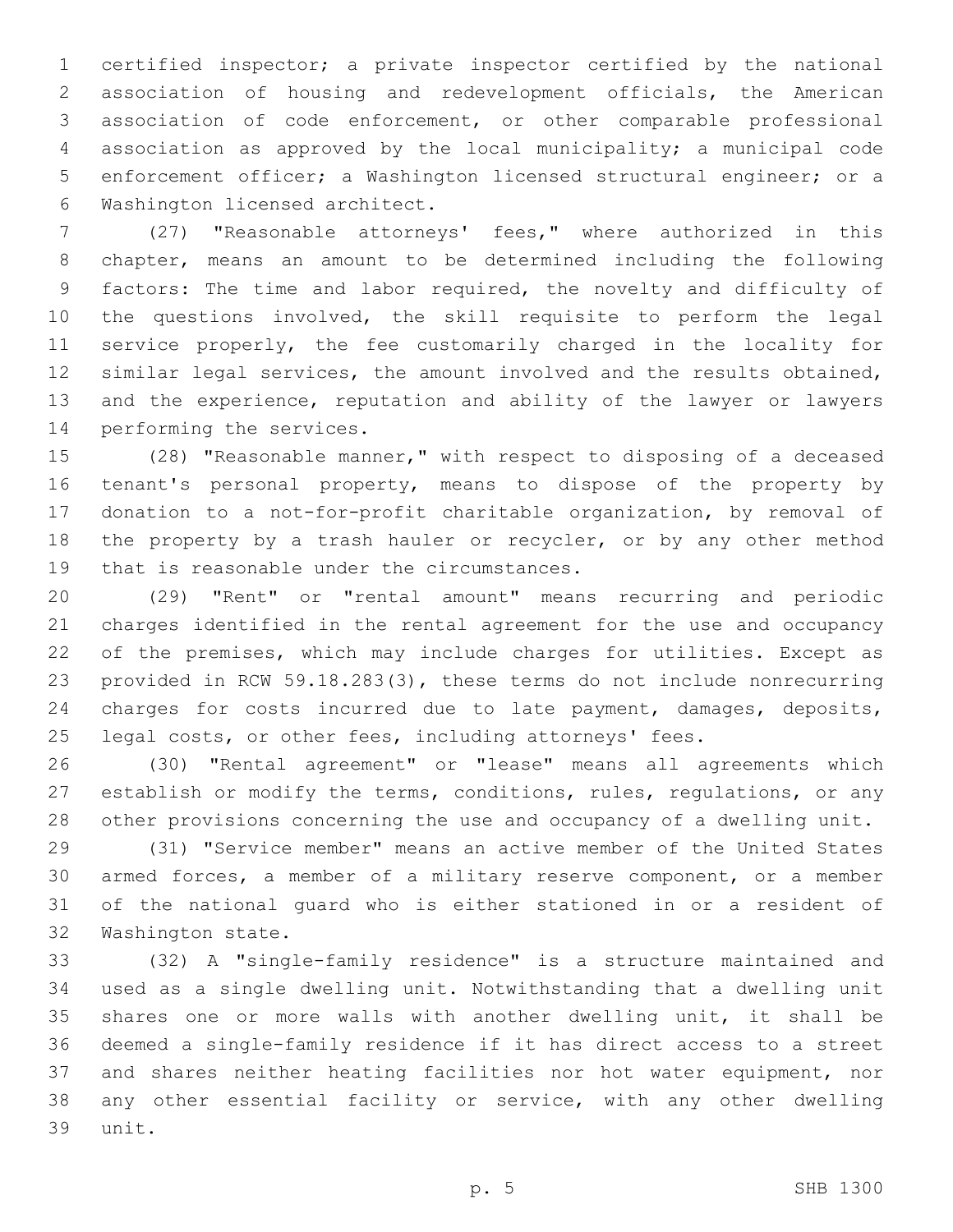certified inspector; a private inspector certified by the national association of housing and redevelopment officials, the American association of code enforcement, or other comparable professional association as approved by the local municipality; a municipal code enforcement officer; a Washington licensed structural engineer; or a 6 Washington licensed architect.

 (27) "Reasonable attorneys' fees," where authorized in this chapter, means an amount to be determined including the following factors: The time and labor required, the novelty and difficulty of the questions involved, the skill requisite to perform the legal 11 service properly, the fee customarily charged in the locality for similar legal services, the amount involved and the results obtained, and the experience, reputation and ability of the lawyer or lawyers 14 performing the services.

 (28) "Reasonable manner," with respect to disposing of a deceased tenant's personal property, means to dispose of the property by donation to a not-for-profit charitable organization, by removal of 18 the property by a trash hauler or recycler, or by any other method 19 that is reasonable under the circumstances.

 (29) "Rent" or "rental amount" means recurring and periodic charges identified in the rental agreement for the use and occupancy of the premises, which may include charges for utilities. Except as provided in RCW 59.18.283(3), these terms do not include nonrecurring charges for costs incurred due to late payment, damages, deposits, legal costs, or other fees, including attorneys' fees.

 (30) "Rental agreement" or "lease" means all agreements which establish or modify the terms, conditions, rules, regulations, or any other provisions concerning the use and occupancy of a dwelling unit.

 (31) "Service member" means an active member of the United States armed forces, a member of a military reserve component, or a member of the national guard who is either stationed in or a resident of 32 Washington state.

 (32) A "single-family residence" is a structure maintained and used as a single dwelling unit. Notwithstanding that a dwelling unit shares one or more walls with another dwelling unit, it shall be deemed a single-family residence if it has direct access to a street and shares neither heating facilities nor hot water equipment, nor any other essential facility or service, with any other dwelling 39 unit.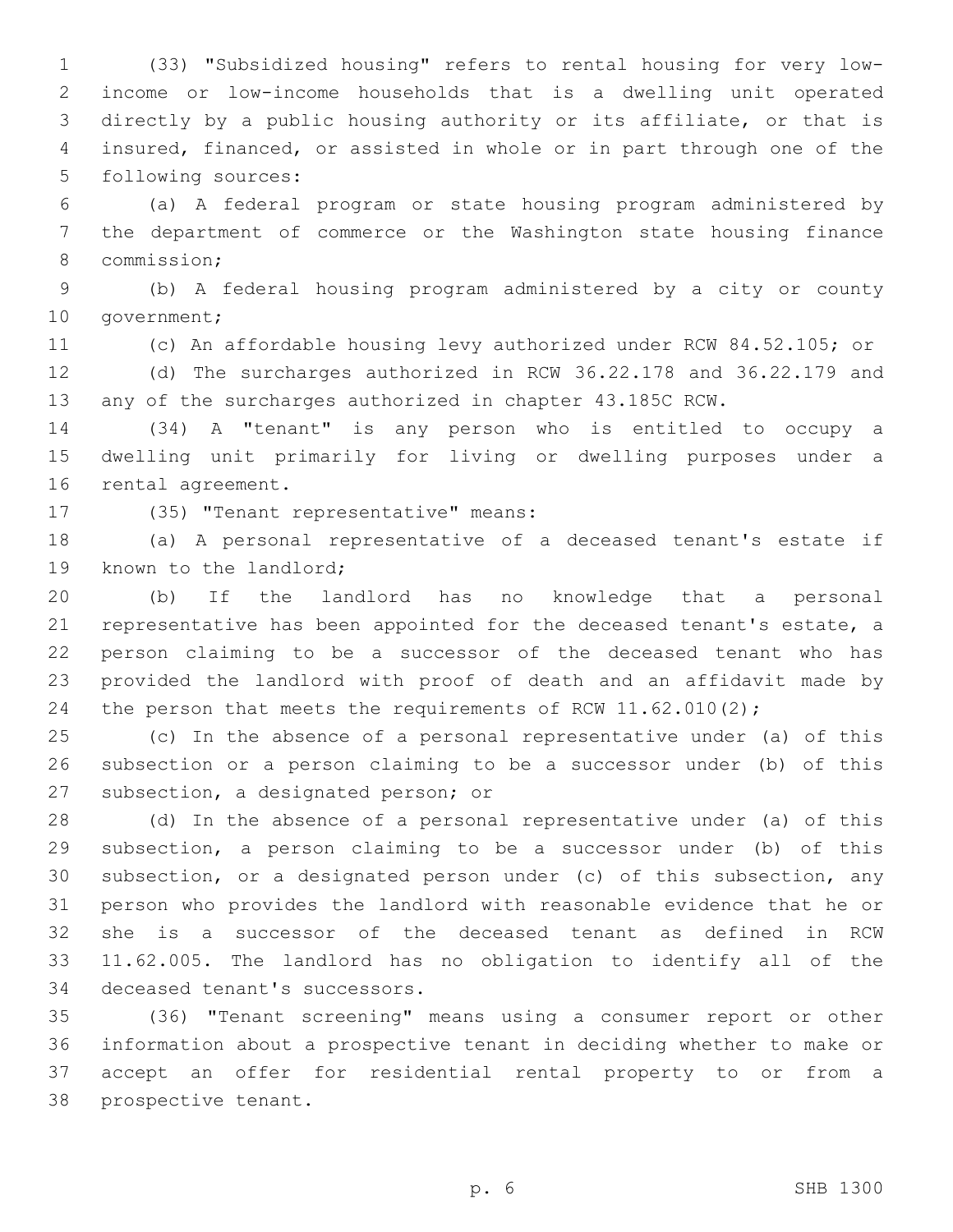(33) "Subsidized housing" refers to rental housing for very low- income or low-income households that is a dwelling unit operated directly by a public housing authority or its affiliate, or that is insured, financed, or assisted in whole or in part through one of the 5 following sources:

 (a) A federal program or state housing program administered by the department of commerce or the Washington state housing finance 8 commission;

 (b) A federal housing program administered by a city or county 10 government;

(c) An affordable housing levy authorized under RCW 84.52.105; or

 (d) The surcharges authorized in RCW 36.22.178 and 36.22.179 and any of the surcharges authorized in chapter 43.185C RCW.

 (34) A "tenant" is any person who is entitled to occupy a dwelling unit primarily for living or dwelling purposes under a 16 rental agreement.

17 (35) "Tenant representative" means:

 (a) A personal representative of a deceased tenant's estate if 19 known to the landlord;

 (b) If the landlord has no knowledge that a personal representative has been appointed for the deceased tenant's estate, a person claiming to be a successor of the deceased tenant who has provided the landlord with proof of death and an affidavit made by 24 the person that meets the requirements of RCW 11.62.010(2);

 (c) In the absence of a personal representative under (a) of this subsection or a person claiming to be a successor under (b) of this 27 subsection, a designated person; or

 (d) In the absence of a personal representative under (a) of this subsection, a person claiming to be a successor under (b) of this subsection, or a designated person under (c) of this subsection, any person who provides the landlord with reasonable evidence that he or she is a successor of the deceased tenant as defined in RCW 11.62.005. The landlord has no obligation to identify all of the 34 deceased tenant's successors.

 (36) "Tenant screening" means using a consumer report or other information about a prospective tenant in deciding whether to make or accept an offer for residential rental property to or from a 38 prospective tenant.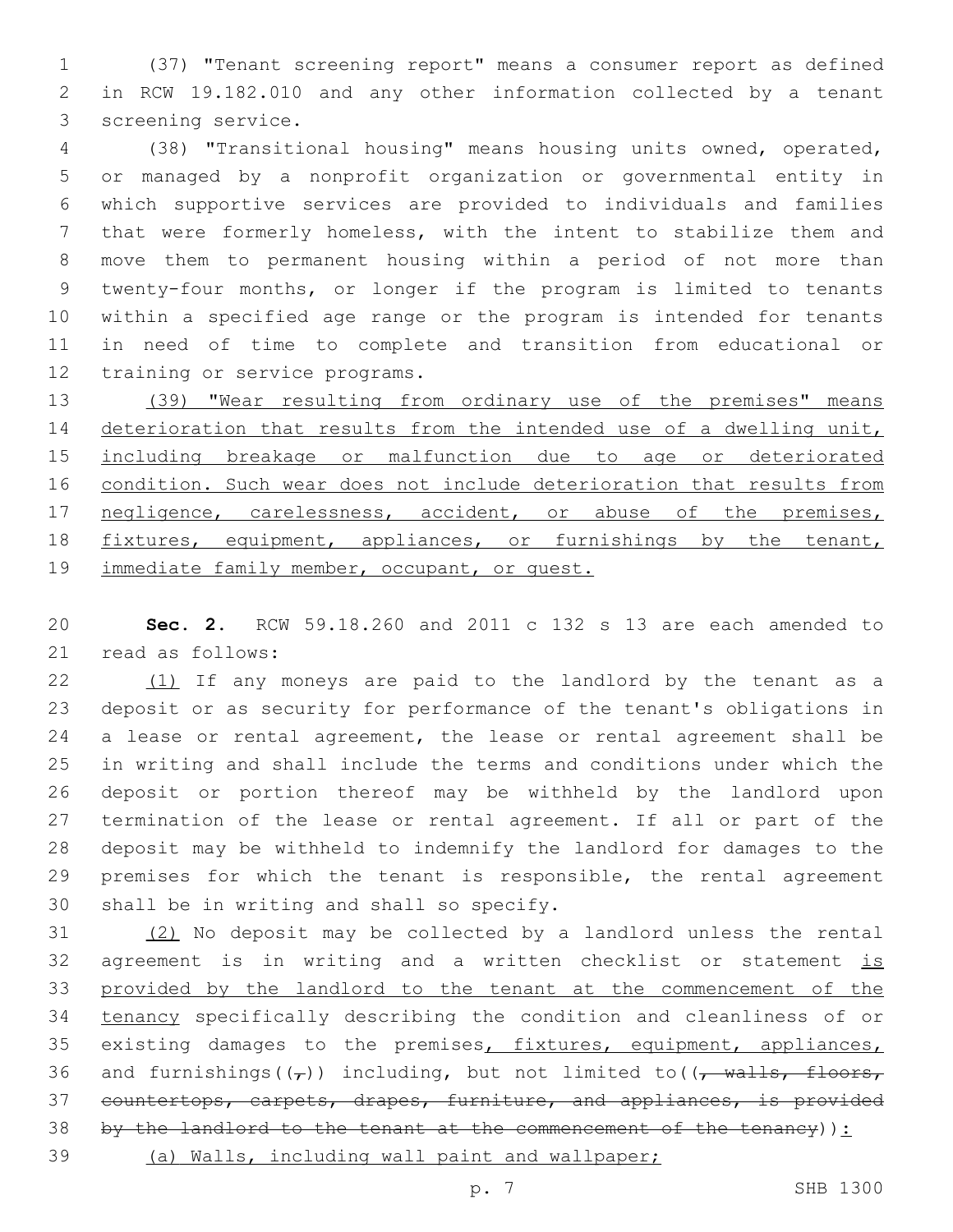(37) "Tenant screening report" means a consumer report as defined in RCW 19.182.010 and any other information collected by a tenant 3 screening service.

 (38) "Transitional housing" means housing units owned, operated, or managed by a nonprofit organization or governmental entity in which supportive services are provided to individuals and families that were formerly homeless, with the intent to stabilize them and move them to permanent housing within a period of not more than twenty-four months, or longer if the program is limited to tenants within a specified age range or the program is intended for tenants in need of time to complete and transition from educational or 12 training or service programs.

 (39) "Wear resulting from ordinary use of the premises" means 14 deterioration that results from the intended use of a dwelling unit, including breakage or malfunction due to age or deteriorated 16 condition. Such wear does not include deterioration that results from 17 negligence, carelessness, accident, or abuse of the premises, fixtures, equipment, appliances, or furnishings by the tenant, 19 immediate family member, occupant, or quest.

 **Sec. 2.** RCW 59.18.260 and 2011 c 132 s 13 are each amended to 21 read as follows:

 $(1)$  If any moneys are paid to the landlord by the tenant as a deposit or as security for performance of the tenant's obligations in a lease or rental agreement, the lease or rental agreement shall be in writing and shall include the terms and conditions under which the deposit or portion thereof may be withheld by the landlord upon termination of the lease or rental agreement. If all or part of the deposit may be withheld to indemnify the landlord for damages to the 29 premises for which the tenant is responsible, the rental agreement 30 shall be in writing and shall so specify.

 (2) No deposit may be collected by a landlord unless the rental 32 agreement is in writing and a written checklist or statement is provided by the landlord to the tenant at the commencement of the tenancy specifically describing the condition and cleanliness of or 35 existing damages to the premises, fixtures, equipment, appliances, 36 and furnishings( $(\tau)$ ) including, but not limited to( $(\tau$  walls, floors, countertops, carpets, drapes, furniture, and appliances, is provided by the landlord to the tenant at the commencement of the tenancy)): (a) Walls, including wall paint and wallpaper;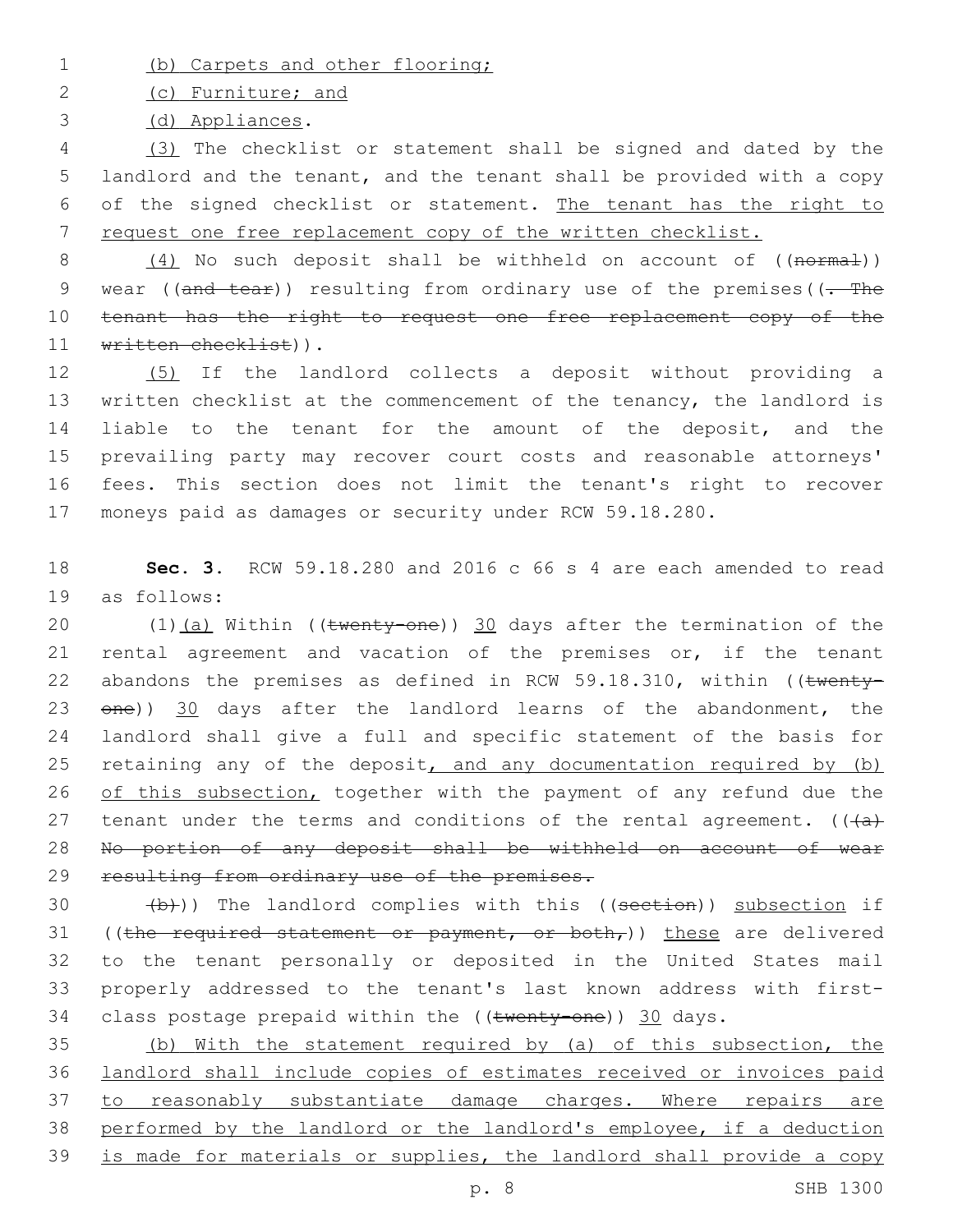1 (b) Carpets and other flooring;

2 (c) Furniture; and

(d) Appliances.3

 (3) The checklist or statement shall be signed and dated by the landlord and the tenant, and the tenant shall be provided with a copy of the signed checklist or statement. The tenant has the right to request one free replacement copy of the written checklist.

8 (4) No such deposit shall be withheld on account of ((normal)) 9 wear ((and tear)) resulting from ordinary use of the premises((- The 10 tenant has the right to request one free replacement copy of the 11 written checklist)).

 (5) If the landlord collects a deposit without providing a written checklist at the commencement of the tenancy, the landlord is liable to the tenant for the amount of the deposit, and the prevailing party may recover court costs and reasonable attorneys' fees. This section does not limit the tenant's right to recover moneys paid as damages or security under RCW 59.18.280.

18 **Sec. 3.** RCW 59.18.280 and 2016 c 66 s 4 are each amended to read as follows:19

20 (1)(a) Within ((twenty-one)) 30 days after the termination of the 21 rental agreement and vacation of the premises or, if the tenant 22 abandons the premises as defined in RCW 59.18.310, within (( $t$ wenty-23  $\theta$ ne)) 30 days after the landlord learns of the abandonment, the 24 landlord shall give a full and specific statement of the basis for 25 retaining any of the deposit, and any documentation required by  $(b)$ 26 of this subsection, together with the payment of any refund due the 27 tenant under the terms and conditions of the rental agreement.  $((+a)^2)$ 28 No portion of any deposit shall be withheld on account of wear 29 resulting from ordinary use of the premises.

 $30$  (b)) The landlord complies with this ((section)) subsection if 31 ((the required statement or payment, or both,)) these are delivered 32 to the tenant personally or deposited in the United States mail 33 properly addressed to the tenant's last known address with first-34 class postage prepaid within the ((twenty-one)) 30 days.

 (b) With the statement required by (a) of this subsection, the landlord shall include copies of estimates received or invoices paid 37 to reasonably substantiate damage charges. Where repairs are performed by the landlord or the landlord's employee, if a deduction is made for materials or supplies, the landlord shall provide a copy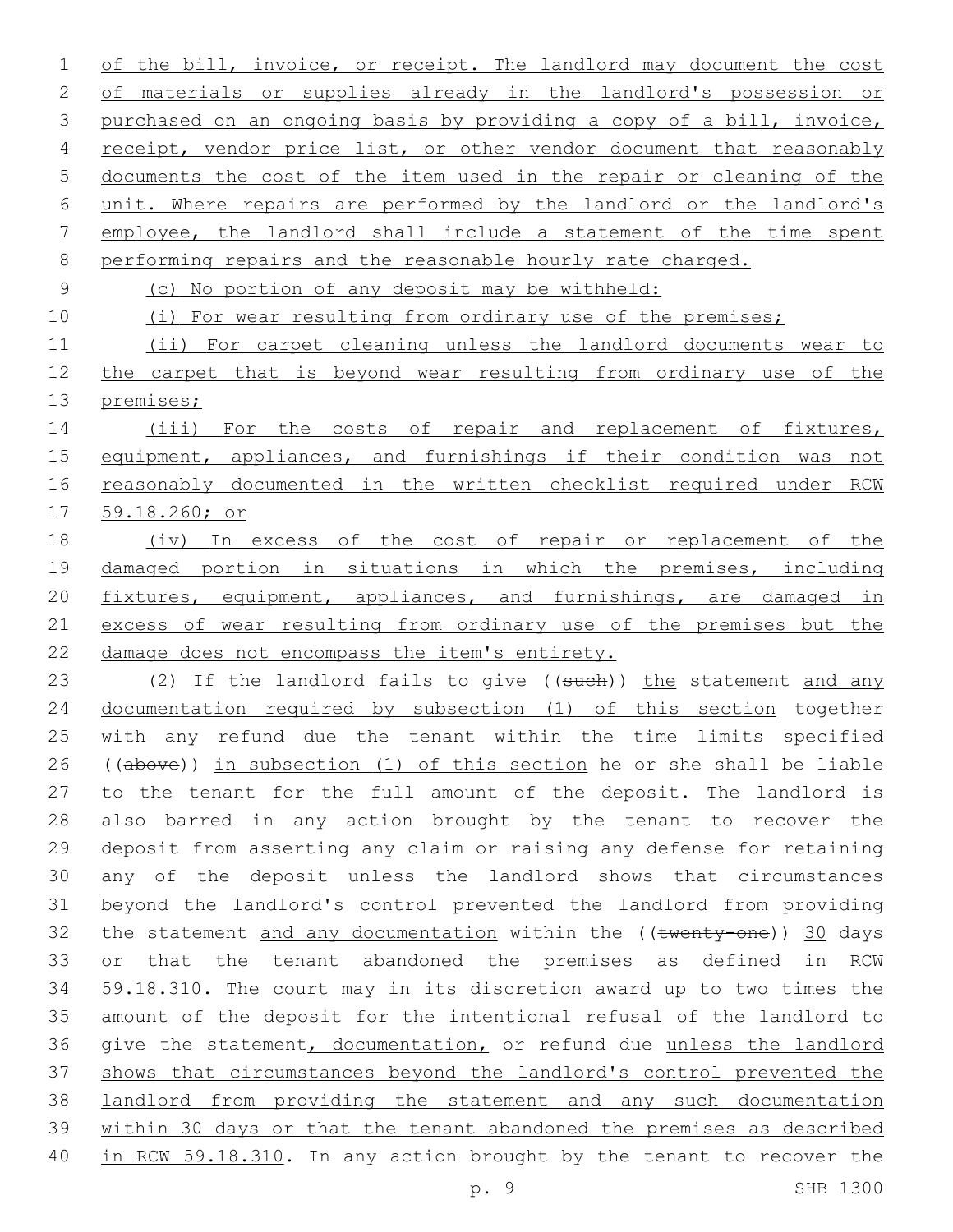1 of the bill, invoice, or receipt. The landlord may document the cost 2 of materials or supplies already in the landlord's possession or 3 purchased on an ongoing basis by providing a copy of a bill, invoice, receipt, vendor price list, or other vendor document that reasonably documents the cost of the item used in the repair or cleaning of the unit. Where repairs are performed by the landlord or the landlord's employee, the landlord shall include a statement of the time spent performing repairs and the reasonable hourly rate charged.

(c) No portion of any deposit may be withheld:

10 (i) For wear resulting from ordinary use of the premises;

 (ii) For carpet cleaning unless the landlord documents wear to the carpet that is beyond wear resulting from ordinary use of the premises;

14 (iii) For the costs of repair and replacement of fixtures, equipment, appliances, and furnishings if their condition was not reasonably documented in the written checklist required under RCW 59.18.260; or

 (iv) In excess of the cost of repair or replacement of the damaged portion in situations in which the premises, including fixtures, equipment, appliances, and furnishings, are damaged in excess of wear resulting from ordinary use of the premises but the damage does not encompass the item's entirety.

23 (2) If the landlord fails to give ((such)) the statement and any 24 documentation required by subsection (1) of this section together with any refund due the tenant within the time limits specified 26 ((above)) in subsection (1) of this section he or she shall be liable to the tenant for the full amount of the deposit. The landlord is also barred in any action brought by the tenant to recover the deposit from asserting any claim or raising any defense for retaining any of the deposit unless the landlord shows that circumstances beyond the landlord's control prevented the landlord from providing 32 the statement and any documentation within the ((twenty-one)) 30 days or that the tenant abandoned the premises as defined in RCW 59.18.310. The court may in its discretion award up to two times the amount of the deposit for the intentional refusal of the landlord to 36 give the statement, documentation, or refund due unless the landlord shows that circumstances beyond the landlord's control prevented the landlord from providing the statement and any such documentation within 30 days or that the tenant abandoned the premises as described in RCW 59.18.310. In any action brought by the tenant to recover the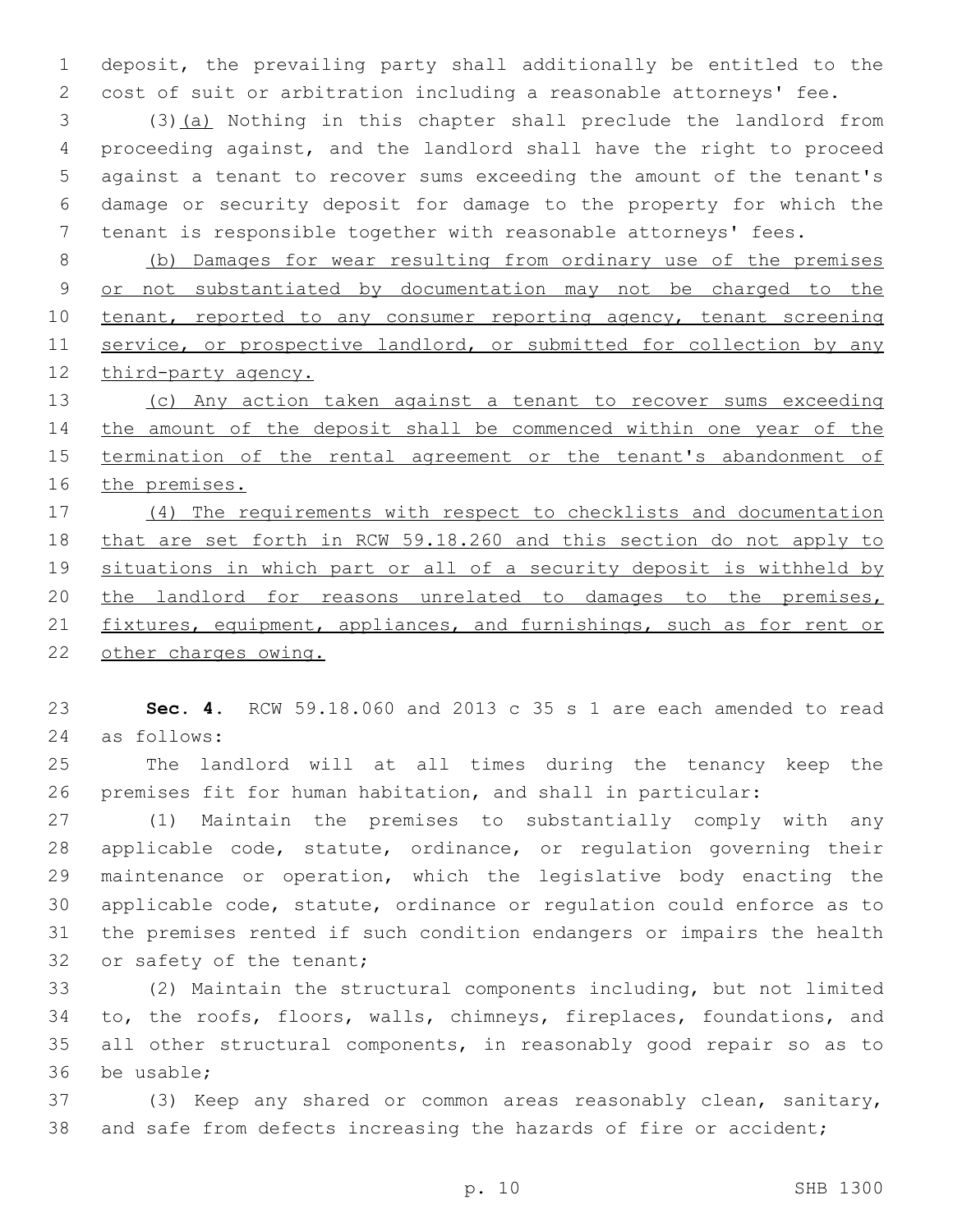deposit, the prevailing party shall additionally be entitled to the cost of suit or arbitration including a reasonable attorneys' fee.

 (3)(a) Nothing in this chapter shall preclude the landlord from proceeding against, and the landlord shall have the right to proceed against a tenant to recover sums exceeding the amount of the tenant's damage or security deposit for damage to the property for which the tenant is responsible together with reasonable attorneys' fees.

 (b) Damages for wear resulting from ordinary use of the premises or not substantiated by documentation may not be charged to the 10 tenant, reported to any consumer reporting agency, tenant screening 11 service, or prospective landlord, or submitted for collection by any 12 third-party agency.

 (c) Any action taken against a tenant to recover sums exceeding 14 the amount of the deposit shall be commenced within one year of the termination of the rental agreement or the tenant's abandonment of the premises.

 (4) The requirements with respect to checklists and documentation that are set forth in RCW 59.18.260 and this section do not apply to situations in which part or all of a security deposit is withheld by 20 the landlord for reasons unrelated to damages to the premises, 21 fixtures, equipment, appliances, and furnishings, such as for rent or 22 other charges owing.

 **Sec. 4.** RCW 59.18.060 and 2013 c 35 s 1 are each amended to read as follows:24

 The landlord will at all times during the tenancy keep the premises fit for human habitation, and shall in particular:

 (1) Maintain the premises to substantially comply with any applicable code, statute, ordinance, or regulation governing their maintenance or operation, which the legislative body enacting the applicable code, statute, ordinance or regulation could enforce as to the premises rented if such condition endangers or impairs the health 32 or safety of the tenant;

 (2) Maintain the structural components including, but not limited to, the roofs, floors, walls, chimneys, fireplaces, foundations, and all other structural components, in reasonably good repair so as to 36 be usable:

 (3) Keep any shared or common areas reasonably clean, sanitary, 38 and safe from defects increasing the hazards of fire or accident;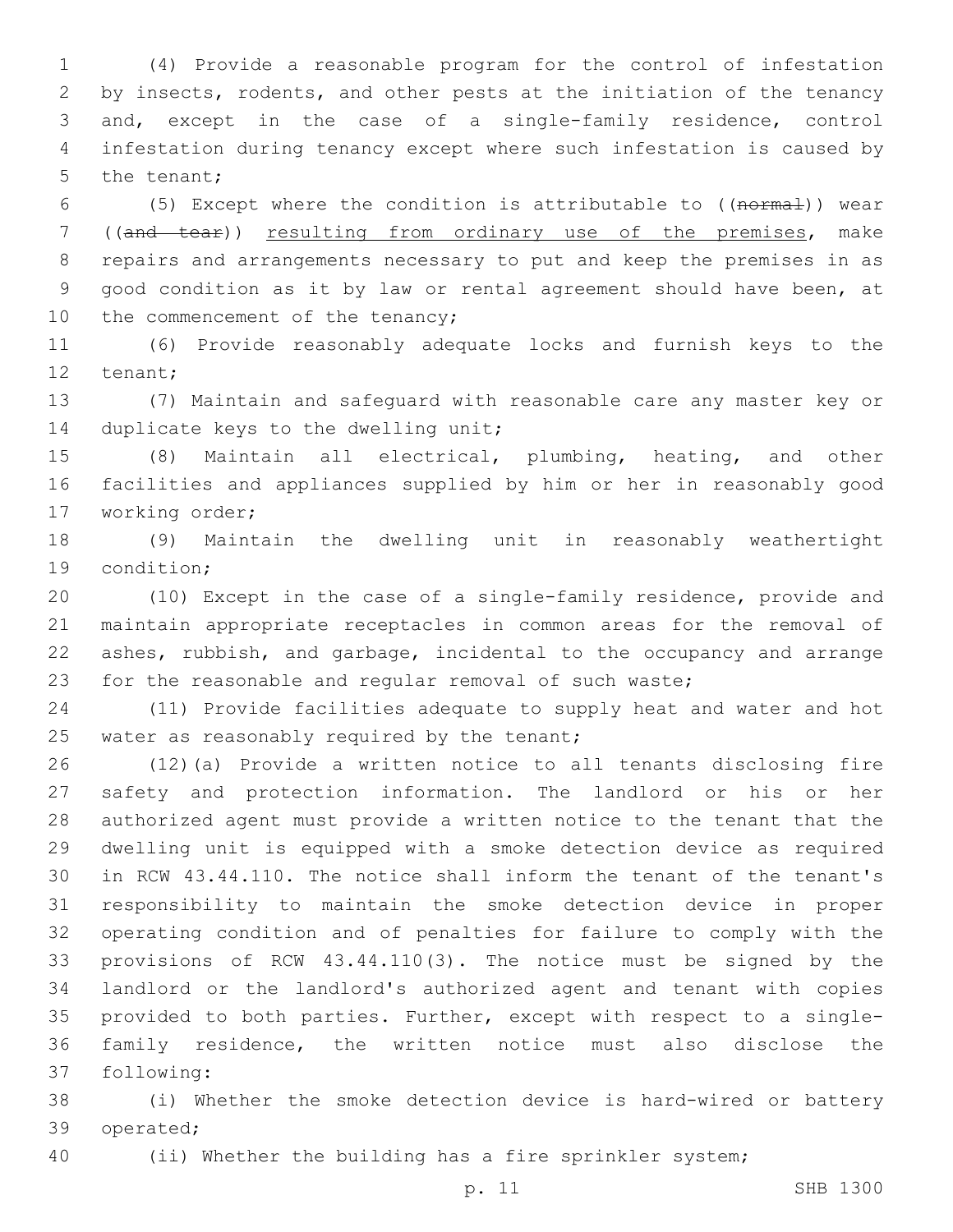(4) Provide a reasonable program for the control of infestation by insects, rodents, and other pests at the initiation of the tenancy and, except in the case of a single-family residence, control infestation during tenancy except where such infestation is caused by 5 the tenant;

 (5) Except where the condition is attributable to ((normal)) wear ((and tear)) resulting from ordinary use of the premises, make repairs and arrangements necessary to put and keep the premises in as good condition as it by law or rental agreement should have been, at 10 the commencement of the tenancy;

 (6) Provide reasonably adequate locks and furnish keys to the 12 tenant;

 (7) Maintain and safeguard with reasonable care any master key or 14 duplicate keys to the dwelling unit;

 (8) Maintain all electrical, plumbing, heating, and other facilities and appliances supplied by him or her in reasonably good 17 working order;

 (9) Maintain the dwelling unit in reasonably weathertight 19 condition:

 (10) Except in the case of a single-family residence, provide and maintain appropriate receptacles in common areas for the removal of ashes, rubbish, and garbage, incidental to the occupancy and arrange for the reasonable and regular removal of such waste;

 (11) Provide facilities adequate to supply heat and water and hot 25 water as reasonably required by the tenant;

 (12)(a) Provide a written notice to all tenants disclosing fire safety and protection information. The landlord or his or her authorized agent must provide a written notice to the tenant that the dwelling unit is equipped with a smoke detection device as required in RCW 43.44.110. The notice shall inform the tenant of the tenant's responsibility to maintain the smoke detection device in proper operating condition and of penalties for failure to comply with the provisions of RCW 43.44.110(3). The notice must be signed by the landlord or the landlord's authorized agent and tenant with copies provided to both parties. Further, except with respect to a single- family residence, the written notice must also disclose the 37 following:

 (i) Whether the smoke detection device is hard-wired or battery 39 operated;

(ii) Whether the building has a fire sprinkler system;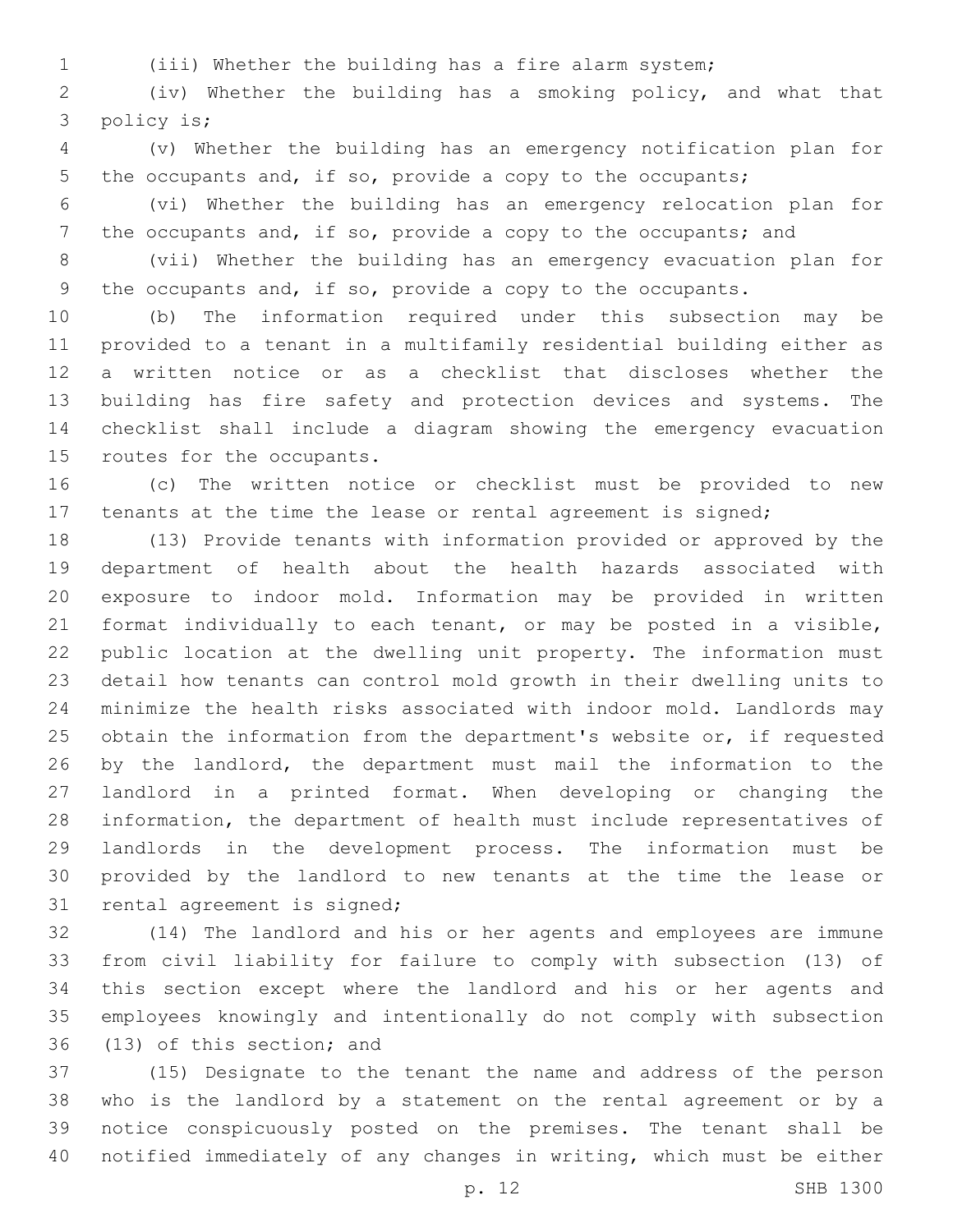(iii) Whether the building has a fire alarm system;

 (iv) Whether the building has a smoking policy, and what that 3 policy is;

 (v) Whether the building has an emergency notification plan for 5 the occupants and, if so, provide a copy to the occupants;

 (vi) Whether the building has an emergency relocation plan for 7 the occupants and, if so, provide a copy to the occupants; and

 (vii) Whether the building has an emergency evacuation plan for the occupants and, if so, provide a copy to the occupants.

 (b) The information required under this subsection may be provided to a tenant in a multifamily residential building either as a written notice or as a checklist that discloses whether the building has fire safety and protection devices and systems. The checklist shall include a diagram showing the emergency evacuation 15 routes for the occupants.

 (c) The written notice or checklist must be provided to new tenants at the time the lease or rental agreement is signed;

 (13) Provide tenants with information provided or approved by the department of health about the health hazards associated with exposure to indoor mold. Information may be provided in written format individually to each tenant, or may be posted in a visible, public location at the dwelling unit property. The information must detail how tenants can control mold growth in their dwelling units to minimize the health risks associated with indoor mold. Landlords may 25 obtain the information from the department's website or, if requested by the landlord, the department must mail the information to the landlord in a printed format. When developing or changing the information, the department of health must include representatives of landlords in the development process. The information must be provided by the landlord to new tenants at the time the lease or 31 rental agreement is signed;

 (14) The landlord and his or her agents and employees are immune from civil liability for failure to comply with subsection (13) of this section except where the landlord and his or her agents and employees knowingly and intentionally do not comply with subsection 36 (13) of this section; and

 (15) Designate to the tenant the name and address of the person who is the landlord by a statement on the rental agreement or by a notice conspicuously posted on the premises. The tenant shall be notified immediately of any changes in writing, which must be either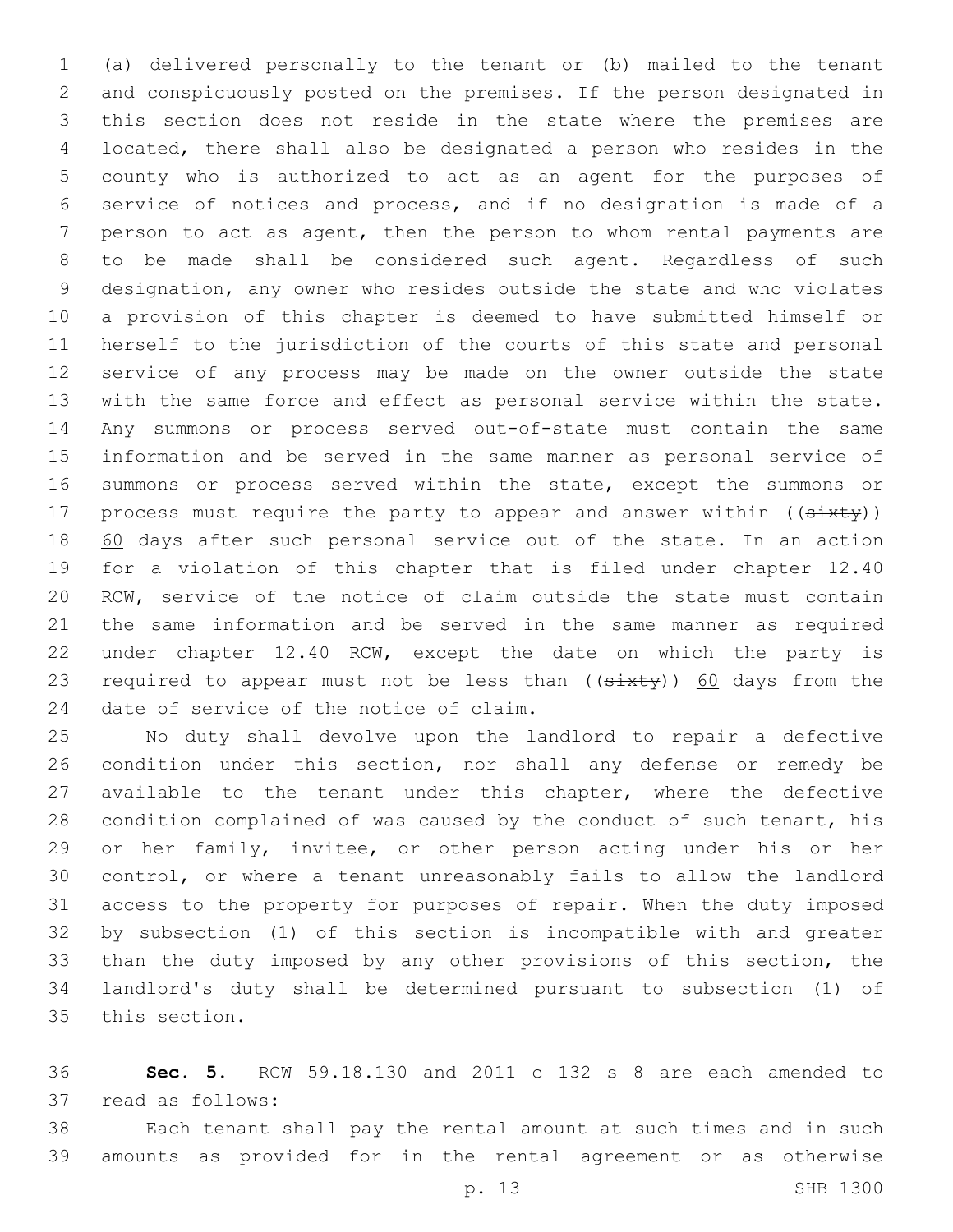(a) delivered personally to the tenant or (b) mailed to the tenant and conspicuously posted on the premises. If the person designated in this section does not reside in the state where the premises are located, there shall also be designated a person who resides in the county who is authorized to act as an agent for the purposes of service of notices and process, and if no designation is made of a person to act as agent, then the person to whom rental payments are to be made shall be considered such agent. Regardless of such designation, any owner who resides outside the state and who violates a provision of this chapter is deemed to have submitted himself or herself to the jurisdiction of the courts of this state and personal service of any process may be made on the owner outside the state with the same force and effect as personal service within the state. Any summons or process served out-of-state must contain the same information and be served in the same manner as personal service of summons or process served within the state, except the summons or 17 process must require the party to appear and answer within ((sixty)) 60 days after such personal service out of the state. In an action for a violation of this chapter that is filed under chapter 12.40 RCW, service of the notice of claim outside the state must contain the same information and be served in the same manner as required under chapter 12.40 RCW, except the date on which the party is 23 required to appear must not be less than  $((sixty))$  60 days from the 24 date of service of the notice of claim.

 No duty shall devolve upon the landlord to repair a defective condition under this section, nor shall any defense or remedy be available to the tenant under this chapter, where the defective condition complained of was caused by the conduct of such tenant, his or her family, invitee, or other person acting under his or her control, or where a tenant unreasonably fails to allow the landlord access to the property for purposes of repair. When the duty imposed by subsection (1) of this section is incompatible with and greater than the duty imposed by any other provisions of this section, the landlord's duty shall be determined pursuant to subsection (1) of 35 this section.

 **Sec. 5.** RCW 59.18.130 and 2011 c 132 s 8 are each amended to 37 read as follows:

 Each tenant shall pay the rental amount at such times and in such amounts as provided for in the rental agreement or as otherwise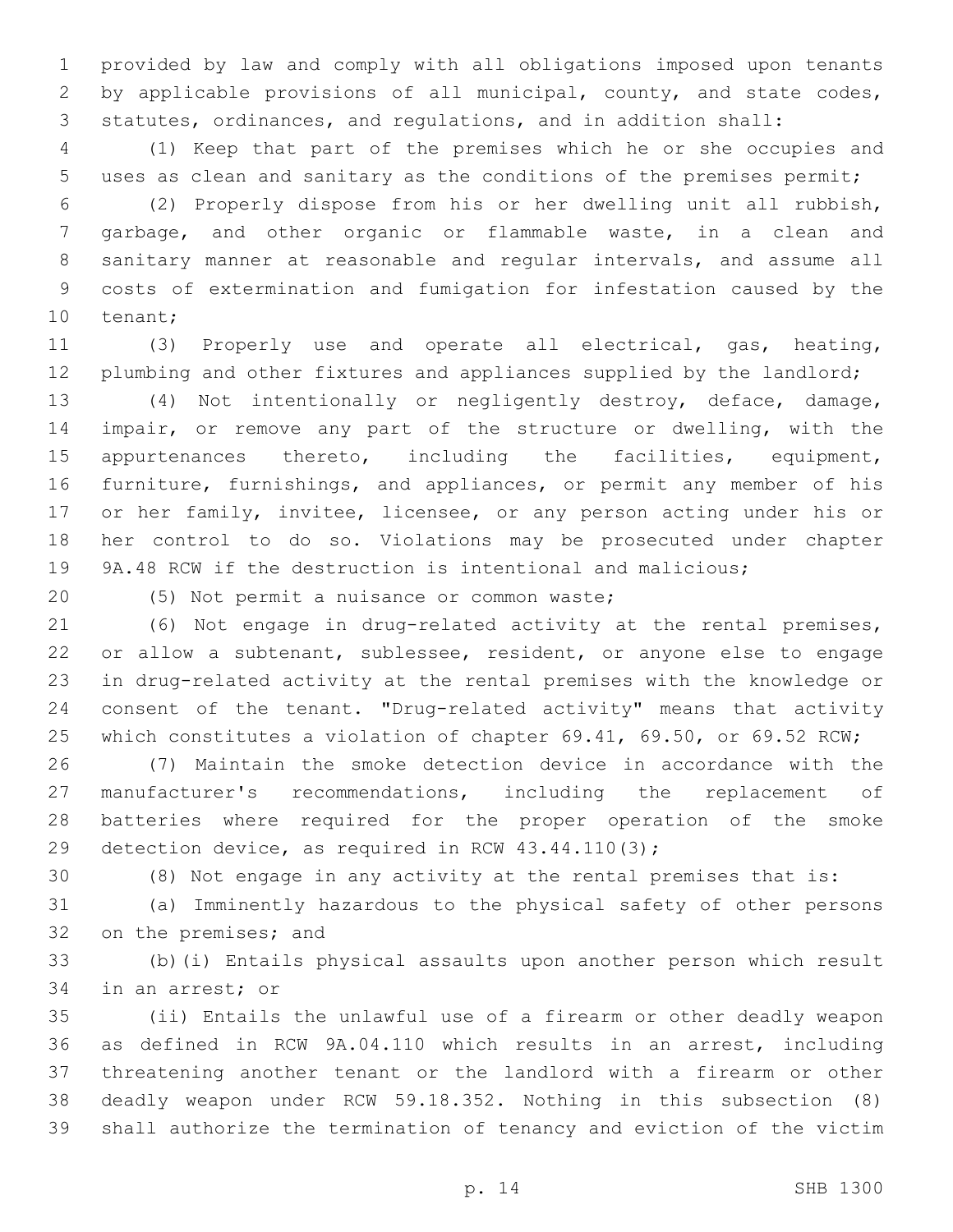provided by law and comply with all obligations imposed upon tenants 2 by applicable provisions of all municipal, county, and state codes, statutes, ordinances, and regulations, and in addition shall:

 (1) Keep that part of the premises which he or she occupies and uses as clean and sanitary as the conditions of the premises permit;

 (2) Properly dispose from his or her dwelling unit all rubbish, garbage, and other organic or flammable waste, in a clean and sanitary manner at reasonable and regular intervals, and assume all costs of extermination and fumigation for infestation caused by the 10 tenant;

 (3) Properly use and operate all electrical, gas, heating, 12 plumbing and other fixtures and appliances supplied by the landlord;

 (4) Not intentionally or negligently destroy, deface, damage, impair, or remove any part of the structure or dwelling, with the appurtenances thereto, including the facilities, equipment, furniture, furnishings, and appliances, or permit any member of his 17 or her family, invitee, licensee, or any person acting under his or her control to do so. Violations may be prosecuted under chapter 9A.48 RCW if the destruction is intentional and malicious;

20 (5) Not permit a nuisance or common waste;

 (6) Not engage in drug-related activity at the rental premises, or allow a subtenant, sublessee, resident, or anyone else to engage in drug-related activity at the rental premises with the knowledge or consent of the tenant. "Drug-related activity" means that activity 25 which constitutes a violation of chapter 69.41, 69.50, or 69.52 RCW;

 (7) Maintain the smoke detection device in accordance with the manufacturer's recommendations, including the replacement of batteries where required for the proper operation of the smoke detection device, as required in RCW 43.44.110(3);

(8) Not engage in any activity at the rental premises that is:

 (a) Imminently hazardous to the physical safety of other persons 32 on the premises; and

 (b)(i) Entails physical assaults upon another person which result 34 in an arrest; or

 (ii) Entails the unlawful use of a firearm or other deadly weapon as defined in RCW 9A.04.110 which results in an arrest, including threatening another tenant or the landlord with a firearm or other deadly weapon under RCW 59.18.352. Nothing in this subsection (8) shall authorize the termination of tenancy and eviction of the victim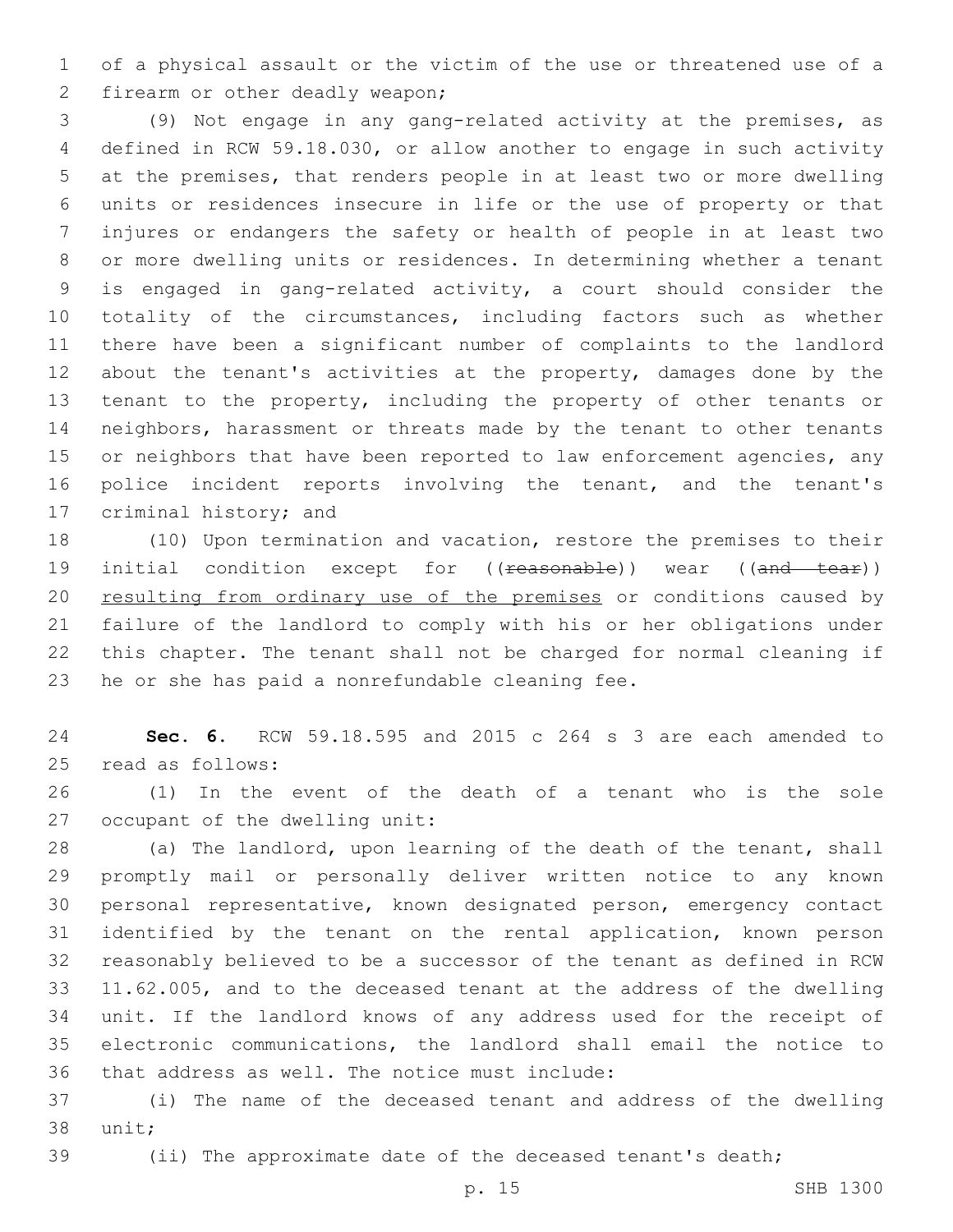of a physical assault or the victim of the use or threatened use of a 2 firearm or other deadly weapon;

 (9) Not engage in any gang-related activity at the premises, as defined in RCW 59.18.030, or allow another to engage in such activity at the premises, that renders people in at least two or more dwelling units or residences insecure in life or the use of property or that injures or endangers the safety or health of people in at least two or more dwelling units or residences. In determining whether a tenant is engaged in gang-related activity, a court should consider the totality of the circumstances, including factors such as whether there have been a significant number of complaints to the landlord about the tenant's activities at the property, damages done by the tenant to the property, including the property of other tenants or neighbors, harassment or threats made by the tenant to other tenants 15 or neighbors that have been reported to law enforcement agencies, any police incident reports involving the tenant, and the tenant's 17 criminal history; and

 (10) Upon termination and vacation, restore the premises to their 19 initial condition except for ((reasonable)) wear ((and tear)) 20 resulting from ordinary use of the premises or conditions caused by failure of the landlord to comply with his or her obligations under this chapter. The tenant shall not be charged for normal cleaning if 23 he or she has paid a nonrefundable cleaning fee.

 **Sec. 6.** RCW 59.18.595 and 2015 c 264 s 3 are each amended to read as follows:25

 (1) In the event of the death of a tenant who is the sole 27 occupant of the dwelling unit:

 (a) The landlord, upon learning of the death of the tenant, shall promptly mail or personally deliver written notice to any known personal representative, known designated person, emergency contact identified by the tenant on the rental application, known person reasonably believed to be a successor of the tenant as defined in RCW 11.62.005, and to the deceased tenant at the address of the dwelling unit. If the landlord knows of any address used for the receipt of electronic communications, the landlord shall email the notice to 36 that address as well. The notice must include:

 (i) The name of the deceased tenant and address of the dwelling 38 unit;

(ii) The approximate date of the deceased tenant's death;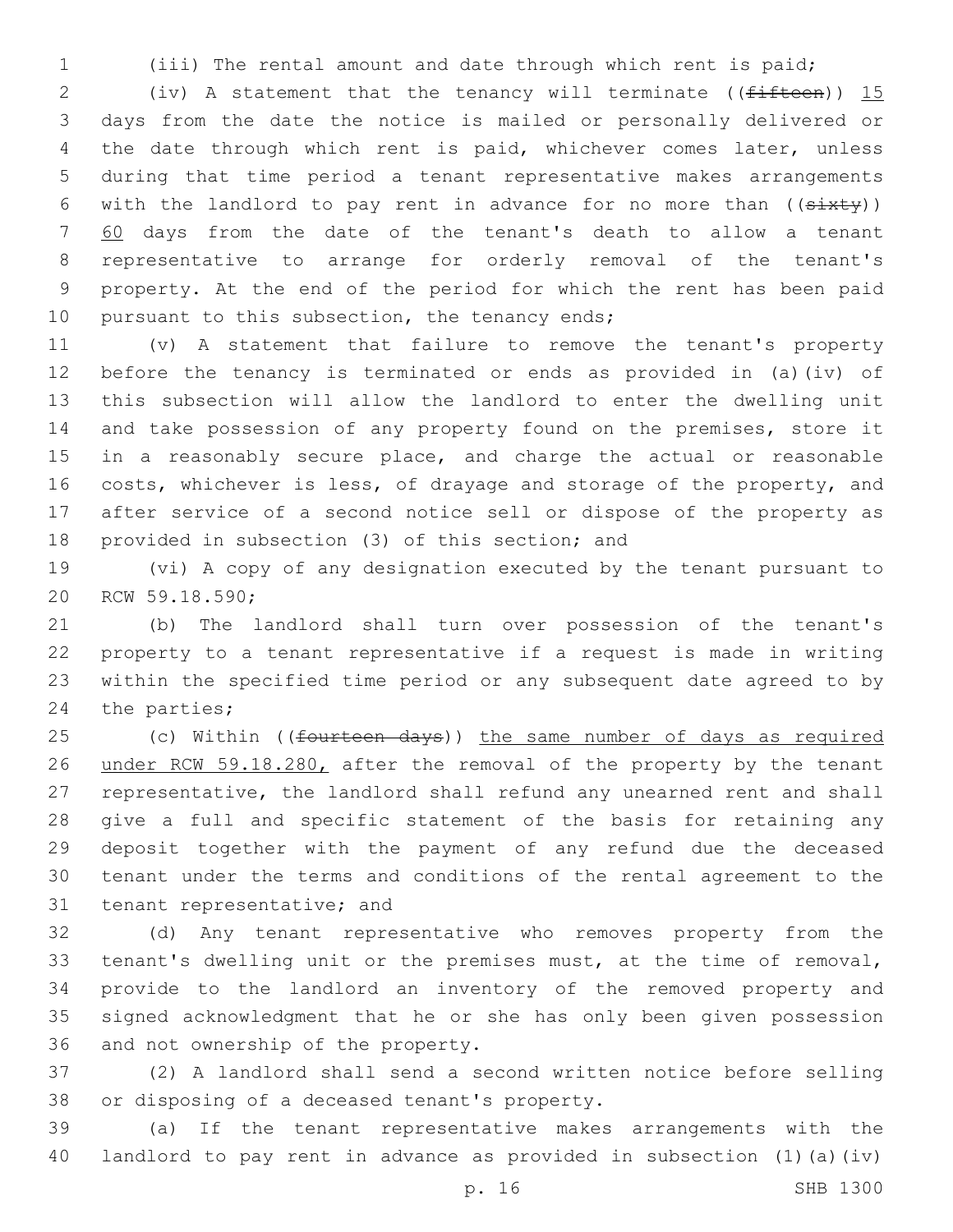(iii) The rental amount and date through which rent is paid;

2 (iv) A statement that the tenancy will terminate ( $(f<sup>if</sup>$ teen)) 15 days from the date the notice is mailed or personally delivered or the date through which rent is paid, whichever comes later, unless during that time period a tenant representative makes arrangements 6 with the landlord to pay rent in advance for no more than  $((sixty))$  60 days from the date of the tenant's death to allow a tenant representative to arrange for orderly removal of the tenant's property. At the end of the period for which the rent has been paid 10 pursuant to this subsection, the tenancy ends;

 (v) A statement that failure to remove the tenant's property before the tenancy is terminated or ends as provided in (a)(iv) of this subsection will allow the landlord to enter the dwelling unit and take possession of any property found on the premises, store it 15 in a reasonably secure place, and charge the actual or reasonable 16 costs, whichever is less, of drayage and storage of the property, and after service of a second notice sell or dispose of the property as 18 provided in subsection (3) of this section; and

 (vi) A copy of any designation executed by the tenant pursuant to 20 RCW 59.18.590;

 (b) The landlord shall turn over possession of the tenant's property to a tenant representative if a request is made in writing within the specified time period or any subsequent date agreed to by 24 the parties;

25 (c) Within ((fourteen days)) the same number of days as required 26 under RCW 59.18.280, after the removal of the property by the tenant representative, the landlord shall refund any unearned rent and shall give a full and specific statement of the basis for retaining any deposit together with the payment of any refund due the deceased tenant under the terms and conditions of the rental agreement to the 31 tenant representative; and

 (d) Any tenant representative who removes property from the tenant's dwelling unit or the premises must, at the time of removal, provide to the landlord an inventory of the removed property and signed acknowledgment that he or she has only been given possession 36 and not ownership of the property.

 (2) A landlord shall send a second written notice before selling 38 or disposing of a deceased tenant's property.

 (a) If the tenant representative makes arrangements with the landlord to pay rent in advance as provided in subsection (1)(a)(iv)

p. 16 SHB 1300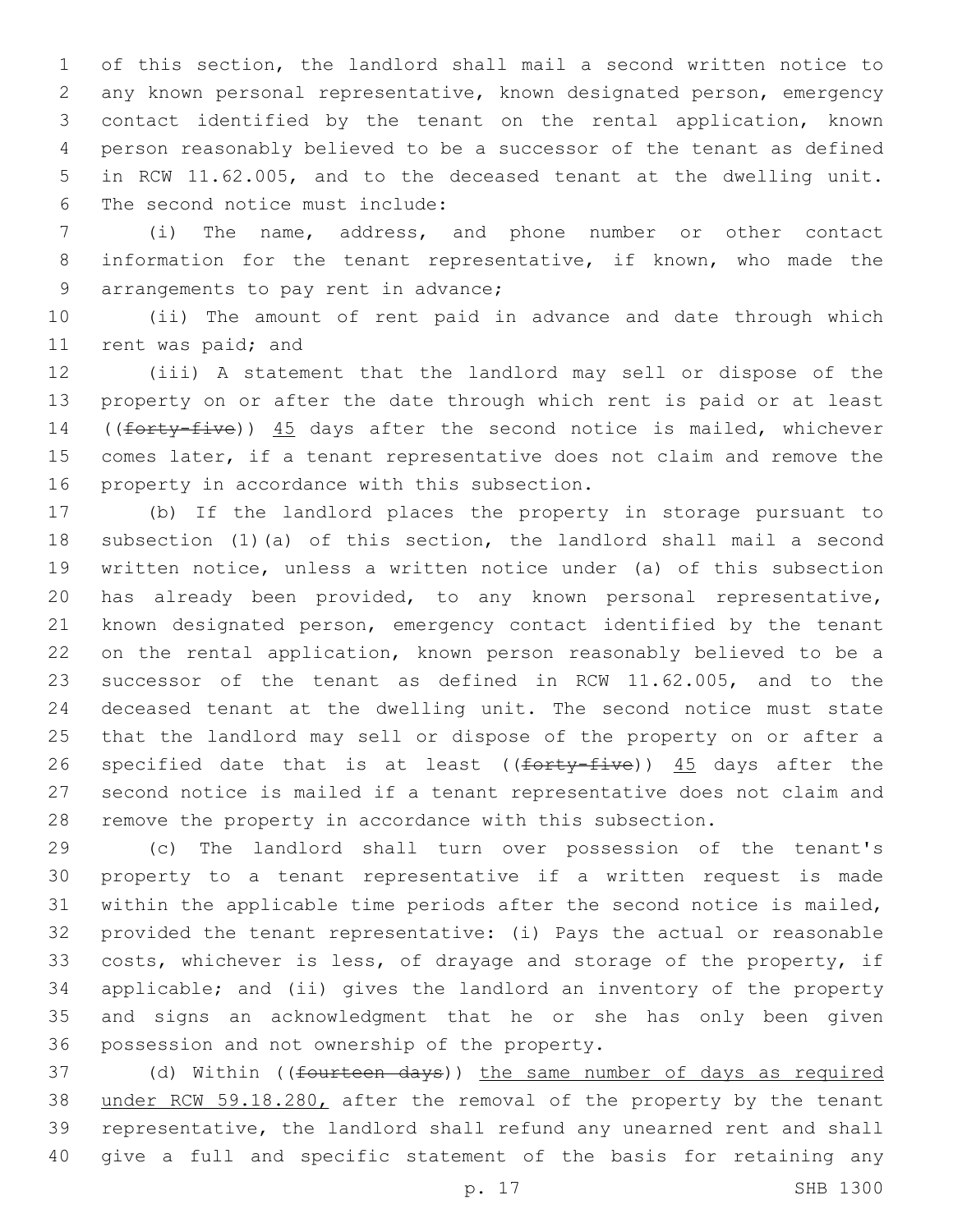of this section, the landlord shall mail a second written notice to any known personal representative, known designated person, emergency contact identified by the tenant on the rental application, known person reasonably believed to be a successor of the tenant as defined in RCW 11.62.005, and to the deceased tenant at the dwelling unit. 6 The second notice must include:

 (i) The name, address, and phone number or other contact information for the tenant representative, if known, who made the 9 arrangements to pay rent in advance;

 (ii) The amount of rent paid in advance and date through which 11 rent was paid; and

 (iii) A statement that the landlord may sell or dispose of the property on or after the date through which rent is paid or at least 14 ((forty-five)) 45 days after the second notice is mailed, whichever comes later, if a tenant representative does not claim and remove the 16 property in accordance with this subsection.

 (b) If the landlord places the property in storage pursuant to subsection (1)(a) of this section, the landlord shall mail a second written notice, unless a written notice under (a) of this subsection has already been provided, to any known personal representative, known designated person, emergency contact identified by the tenant on the rental application, known person reasonably believed to be a successor of the tenant as defined in RCW 11.62.005, and to the deceased tenant at the dwelling unit. The second notice must state that the landlord may sell or dispose of the property on or after a 26 specified date that is at least ((forty-five)) 45 days after the second notice is mailed if a tenant representative does not claim and remove the property in accordance with this subsection.

 (c) The landlord shall turn over possession of the tenant's property to a tenant representative if a written request is made within the applicable time periods after the second notice is mailed, provided the tenant representative: (i) Pays the actual or reasonable costs, whichever is less, of drayage and storage of the property, if applicable; and (ii) gives the landlord an inventory of the property and signs an acknowledgment that he or she has only been given 36 possession and not ownership of the property.

37 (d) Within ((<del>fourteen days</del>)) the same number of days as required under RCW 59.18.280, after the removal of the property by the tenant representative, the landlord shall refund any unearned rent and shall give a full and specific statement of the basis for retaining any

p. 17 SHB 1300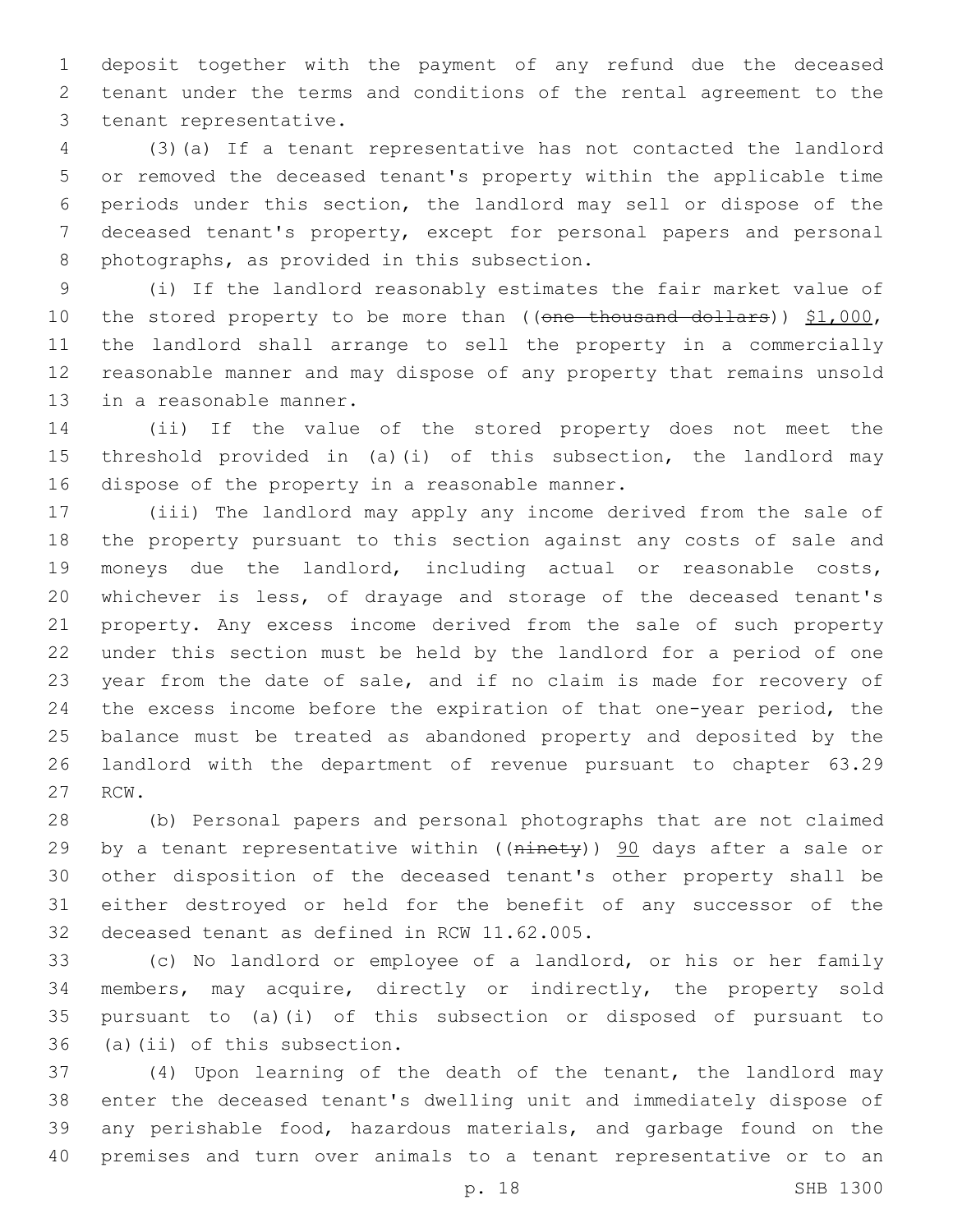deposit together with the payment of any refund due the deceased tenant under the terms and conditions of the rental agreement to the 3 tenant representative.

 (3)(a) If a tenant representative has not contacted the landlord or removed the deceased tenant's property within the applicable time periods under this section, the landlord may sell or dispose of the deceased tenant's property, except for personal papers and personal 8 photographs, as provided in this subsection.

 (i) If the landlord reasonably estimates the fair market value of 10 the stored property to be more than ((one thousand dollars)) \$1,000, the landlord shall arrange to sell the property in a commercially reasonable manner and may dispose of any property that remains unsold 13 in a reasonable manner.

 (ii) If the value of the stored property does not meet the threshold provided in (a)(i) of this subsection, the landlord may 16 dispose of the property in a reasonable manner.

 (iii) The landlord may apply any income derived from the sale of the property pursuant to this section against any costs of sale and moneys due the landlord, including actual or reasonable costs, whichever is less, of drayage and storage of the deceased tenant's property. Any excess income derived from the sale of such property under this section must be held by the landlord for a period of one year from the date of sale, and if no claim is made for recovery of the excess income before the expiration of that one-year period, the balance must be treated as abandoned property and deposited by the landlord with the department of revenue pursuant to chapter 63.29 27 RCW.

 (b) Personal papers and personal photographs that are not claimed 29 by a tenant representative within ((ninety)) 90 days after a sale or other disposition of the deceased tenant's other property shall be either destroyed or held for the benefit of any successor of the 32 deceased tenant as defined in RCW 11.62.005.

 (c) No landlord or employee of a landlord, or his or her family members, may acquire, directly or indirectly, the property sold pursuant to (a)(i) of this subsection or disposed of pursuant to 36 (a)(ii) of this subsection.

 (4) Upon learning of the death of the tenant, the landlord may enter the deceased tenant's dwelling unit and immediately dispose of any perishable food, hazardous materials, and garbage found on the premises and turn over animals to a tenant representative or to an

p. 18 SHB 1300